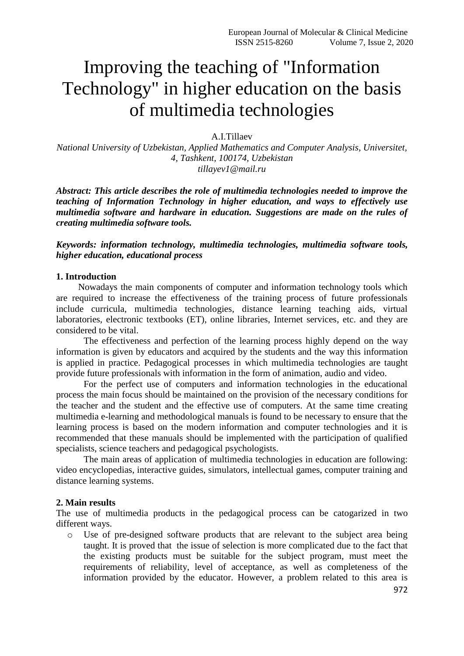# Improving the teaching of "Information Technology" in higher education on the basis of multimedia technologies

A.I.Tillaev

*National University of Uzbekistan, Applied Mathematics and Computer Analysis, Universitet, 4, Tashkent, 100174, Uzbekistan tillayev1@mail.ru*

*Abstract: This article describes the role of multimedia technologies needed to improve the teaching of Information Technology in higher education, and ways to effectively use multimedia software and hardware in education. Suggestions are made on the rules of creating multimedia software tools.*

*Keywords: information technology, multimedia technologies, multimedia software tools, higher education, educational process*

#### **1. Introduction**

Nowadays the main components of computer and information technology tools which are required to increase the effectiveness of the training process of future professionals include curricula, multimedia technologies, distance learning teaching aids, virtual laboratories, electronic textbooks (ET), online libraries, Internet services, etc. and they are considered to be vital.

The effectiveness and perfection of the learning process highly depend on the way information is given by educators and acquired by the students and the way this information is applied in practice. Pedagogical processes in which multimedia technologies are taught provide future professionals with information in the form of animation, audio and video.

For the perfect use of computers and information technologies in the educational process the main focus should be maintained on the provision of the necessary conditions for the teacher and the student and the effective use of computers. At the same time creating multimedia e-learning and methodological manuals is found to be necessary to ensure that the learning process is based on the modern information and computer technologies and it is recommended that these manuals should be implemented with the participation of qualified specialists, science teachers and pedagogical psychologists.

The main areas of application of multimedia technologies in education are following: video encyclopedias, interactive guides, simulators, intellectual games, computer training and distance learning systems.

#### **2. Main results**

The use of multimedia products in the pedagogical process can be catogarized in two different ways.

o Use of pre-designed software products that are relevant to the subject area being taught. It is proved that the issue of selection is more complicated due to the fact that the existing products must be suitable for the subject program, must meet the requirements of reliability, level of acceptance, as well as completeness of the information provided by the educator. However, a problem related to this area is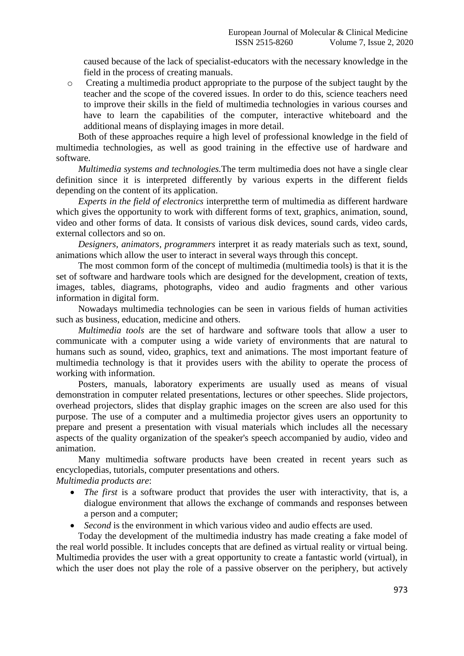caused because of the lack of specialist-educators with the necessary knowledge in the field in the process of creating manuals.

o Creating a multimedia product appropriate to the purpose of the subject taught by the teacher and the scope of the covered issues. In order to do this, science teachers need to improve their skills in the field of multimedia technologies in various courses and have to learn the capabilities of the computer, interactive whiteboard and the additional means of displaying images in more detail.

Both of these approaches require a high level of professional knowledge in the field of multimedia technologies, as well as good training in the effective use of hardware and software.

*Multimedia systems and technologies.*The term multimedia does not have a single clear definition since it is interpreted differently by various experts in the different fields depending on the content of its application.

*Experts in the field of electronics* interpretthe term of multimedia as different hardware which gives the opportunity to work with different forms of text, graphics, animation, sound, video and other forms of data. It consists of various disk devices, sound cards, video cards, external collectors and so on.

*Designers, animators, programmers* interpret it as ready materials such as text, sound, animations which allow the user to interact in several ways through this concept.

The most common form of the concept of multimedia (multimedia tools) is that it is the set of software and hardware tools which are designed for the development, creation of texts, images, tables, diagrams, photographs, video and audio fragments and other various information in digital form.

Nowadays multimedia technologies can be seen in various fields of human activities such as business, education, medicine and others.

*Multimedia tools* are the set of hardware and software tools that allow a user to communicate with a computer using a wide variety of environments that are natural to humans such as sound, video, graphics, text and animations. The most important feature of multimedia technology is that it provides users with the ability to operate the process of working with information.

Posters, manuals, laboratory experiments are usually used as means of visual demonstration in computer related presentations, lectures or other speeches. Slide projectors, overhead projectors, slides that display graphic images on the screen are also used for this purpose. The use of a computer and a multimedia projector gives users an opportunity to prepare and present a presentation with visual materials which includes all the necessary aspects of the quality organization of the speaker's speech accompanied by audio, video and animation.

Many multimedia software products have been created in recent years such as encyclopedias, tutorials, computer presentations and others. *Multimedia products are*:

- *The first* is a software product that provides the user with interactivity, that is, a dialogue environment that allows the exchange of commands and responses between a person and a computer;
- *Second* is the environment in which various video and audio effects are used.

Today the development of the multimedia industry has made creating a fake model of the real world possible. It includes concepts that are defined as virtual reality or virtual being. Multimedia provides the user with a great opportunity to create a fantastic world (virtual), in which the user does not play the role of a passive observer on the periphery, but actively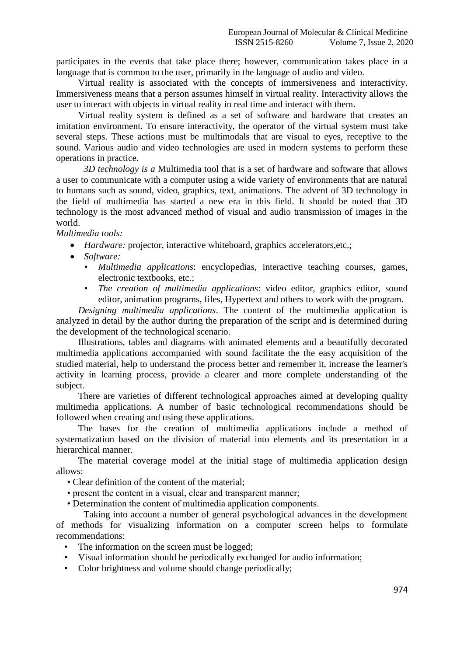participates in the events that take place there; however, communication takes place in a language that is common to the user, primarily in the language of audio and video.

Virtual reality is associated with the concepts of immersiveness and interactivity. Immersiveness means that a person assumes himself in virtual reality. Interactivity allows the user to interact with objects in virtual reality in real time and interact with them.

Virtual reality system is defined as a set of software and hardware that creates an imitation environment. To ensure interactivity, the operator of the virtual system must take several steps. These actions must be multimodals that are visual to eyes, receptive to the sound. Various audio and video technologies are used in modern systems to perform these operations in practice.

*3D technology is a* Multimedia tool that is a set of hardware and software that allows a user to communicate with a computer using a wide variety of environments that are natural to humans such as sound, video, graphics, text, animations. The advent of 3D technology in the field of multimedia has started a new era in this field. It should be noted that 3D technology is the most advanced method of visual and audio transmission of images in the world.

*Multimedia tools:*

- *Hardware:* projector, interactive whiteboard, graphics accelerators,etc.;
- *Software:*
	- *• Multimedia applications*: encyclopedias, interactive teaching courses, games, electronic textbooks, etc.;
	- *• The creation of multimedia applications*: video editor, graphics editor, sound editor, animation programs, files, Hypertext and others to work with the program.

*Designing multimedia applications*. The content of the multimedia application is analyzed in detail by the author during the preparation of the script and is determined during the development of the technological scenario.

Illustrations, tables and diagrams with animated elements and a beautifully decorated multimedia applications accompanied with sound facilitate the the easy acquisition of the studied material, help to understand the process better and remember it, increase the learner's activity in learning process, provide a clearer and more complete understanding of the subject.

There are varieties of different technological approaches aimed at developing quality multimedia applications. A number of basic technological recommendations should be followed when creating and using these applications.

The bases for the creation of multimedia applications include a method of systematization based on the division of material into elements and its presentation in a hierarchical manner.

The material coverage model at the initial stage of multimedia application design allows:

- Clear definition of the content of the material;
- present the content in a visual, clear and transparent manner;
- Determination the content of multimedia application components.

Taking into account a number of general psychological advances in the development of methods for visualizing information on a computer screen helps to formulate recommendations:

- The information on the screen must be logged;
- *•* Visual information should be periodically exchanged for audio information;
- *•* Color brightness and volume should change periodically;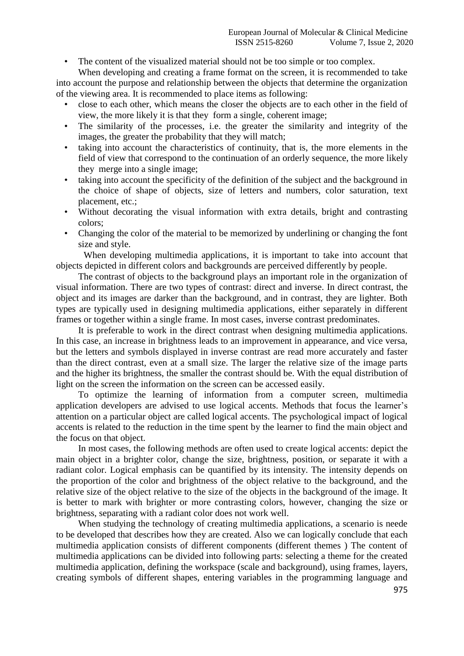*•* The content of the visualized material should not be too simple or too complex.

When developing and creating a frame format on the screen, it is recommended to take into account the purpose and relationship between the objects that determine the organization of the viewing area. It is recommended to place items as following:

- *•* close to each other, which means the closer the objects are to each other in the field of view, the more likely it is that they form a single, coherent image;
- *•* The similarity of the processes, i.e. the greater the similarity and integrity of the images, the greater the probability that they will match;
- *•* taking into account the characteristics of continuity, that is, the more elements in the field of view that correspond to the continuation of an orderly sequence, the more likely they merge into a single image;
- taking into account the specificity of the definition of the subject and the background in the choice of shape of objects, size of letters and numbers, color saturation, text placement, etc.;
- *•* Without decorating the visual information with extra details, bright and contrasting colors;
- *•* Changing the color of the material to be memorized by underlining or changing the font size and style.

When developing multimedia applications, it is important to take into account that objects depicted in different colors and backgrounds are perceived differently by people.

The contrast of objects to the background plays an important role in the organization of visual information. There are two types of contrast: direct and inverse. In direct contrast, the object and its images are darker than the background, and in contrast, they are lighter. Both types are typically used in designing multimedia applications, either separately in different frames or together within a single frame. In most cases, inverse contrast predominates.

It is preferable to work in the direct contrast when designing multimedia applications. In this case, an increase in brightness leads to an improvement in appearance, and vice versa, but the letters and symbols displayed in inverse contrast are read more accurately and faster than the direct contrast, even at a small size. The larger the relative size of the image parts and the higher its brightness, the smaller the contrast should be. With the equal distribution of light on the screen the information on the screen can be accessed easily.

To optimize the learning of information from a computer screen, multimedia application developers are advised to use logical accents. Methods that focus the learner's attention on a particular object are called logical accents. The psychological impact of logical accents is related to the reduction in the time spent by the learner to find the main object and the focus on that object.

In most cases, the following methods are often used to create logical accents: depict the main object in a brighter color, change the size, brightness, position, or separate it with a radiant color. Logical emphasis can be quantified by its intensity. The intensity depends on the proportion of the color and brightness of the object relative to the background, and the relative size of the object relative to the size of the objects in the background of the image. It is better to mark with brighter or more contrasting colors, however, changing the size or brightness, separating with a radiant color does not work well.

When studying the technology of creating multimedia applications, a scenario is neede to be developed that describes how they are created. Also we can logically conclude that each multimedia application consists of different components (different themes ) The content of multimedia applications can be divided into following parts: selecting a theme for the created multimedia application, defining the workspace (scale and background), using frames, layers, creating symbols of different shapes, entering variables in the programming language and